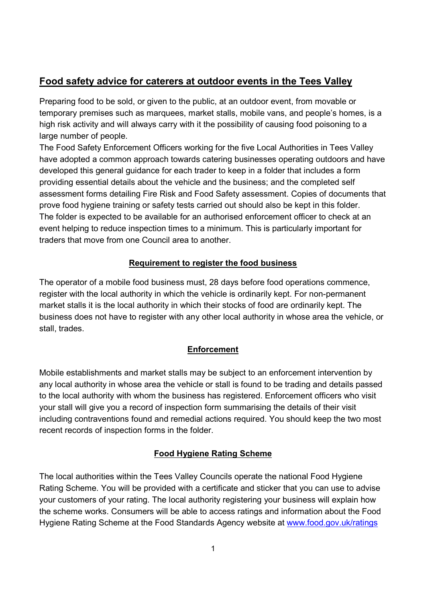# **Food safety advice for caterers at outdoor events in the Tees Valley**

 Preparing food to be sold, or given to the public, at an outdoor event, from movable or temporary premises such as marquees, market stalls, mobile vans, and people's homes, is a high risk activity and will always carry with it the possibility of causing food poisoning to a large number of people.

 The Food Safety Enforcement Officers working for the five Local Authorities in Tees Valley have adopted a common approach towards catering businesses operating outdoors and have developed this general guidance for each trader to keep in a folder that includes a form providing essential details about the vehicle and the business; and the completed self assessment forms detailing Fire Risk and Food Safety assessment. Copies of documents that prove food hygiene training or safety tests carried out should also be kept in this folder. The folder is expected to be available for an authorised enforcement officer to check at an event helping to reduce inspection times to a minimum. This is particularly important for traders that move from one Council area to another.

# **Requirement to register the food business**

 The operator of a mobile food business must, 28 days before food operations commence, register with the local authority in which the vehicle is ordinarily kept. For non-permanent market stalls it is the local authority in which their stocks of food are ordinarily kept. The business does not have to register with any other local authority in whose area the vehicle, or stall, trades.

# **Enforcement**

 Mobile establishments and market stalls may be subject to an enforcement intervention by any local authority in whose area the vehicle or stall is found to be trading and details passed to the local authority with whom the business has registered. Enforcement officers who visit your stall will give you a record of inspection form summarising the details of their visit including contraventions found and remedial actions required. You should keep the two most recent records of inspection forms in the folder.

# **Food Hygiene Rating Scheme**

 The local authorities within the Tees Valley Councils operate the national Food Hygiene Rating Scheme. You will be provided with a certificate and sticker that you can use to advise your customers of your rating. The local authority registering your business will explain how the scheme works. Consumers will be able to access ratings and information about the Food Hygiene Rating Scheme at the Food Standards Agency website at www.food.gov.uk/ratings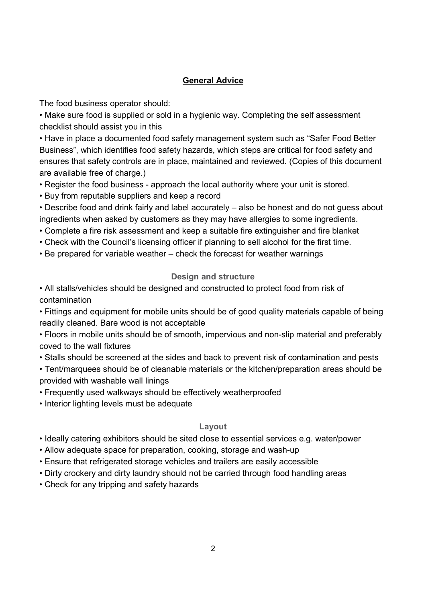# **General Advice**

The food business operator should:

 • Make sure food is supplied or sold in a hygienic way. Completing the self assessment checklist should assist you in this

 • Have in place a documented food safety management system such as "Safer Food Better Business", which identifies food safety hazards, which steps are critical for food safety and ensures that safety controls are in place, maintained and reviewed. (Copies of this document are available free of charge.)

• Register the food business - approach the local authority where your unit is stored.

• Buy from reputable suppliers and keep a record

 • Describe food and drink fairly and label accurately – also be honest and do not guess about ingredients when asked by customers as they may have allergies to some ingredients.

- Complete a fire risk assessment and keep a suitable fire extinguisher and fire blanket
- Check with the Council's licensing officer if planning to sell alcohol for the first time.
- Be prepared for variable weather check the forecast for weather warnings

# **Design and structure**

 • All stalls/vehicles should be designed and constructed to protect food from risk of contamination

 • Fittings and equipment for mobile units should be of good quality materials capable of being readily cleaned. Bare wood is not acceptable

• Floors in mobile units should be of smooth, impervious and non-slip material and preferably coved to the wall fixtures

• Stalls should be screened at the sides and back to prevent risk of contamination and pests

 • Tent/marquees should be of cleanable materials or the kitchen/preparation areas should be provided with washable wall linings

- Frequently used walkways should be effectively weatherproofed
- Interior lighting levels must be adequate

# **Layout**

- Ideally catering exhibitors should be sited close to essential services e.g. water/power
- Allow adequate space for preparation, cooking, storage and wash-up
- Ensure that refrigerated storage vehicles and trailers are easily accessible
- Dirty crockery and dirty laundry should not be carried through food handling areas
- Check for any tripping and safety hazards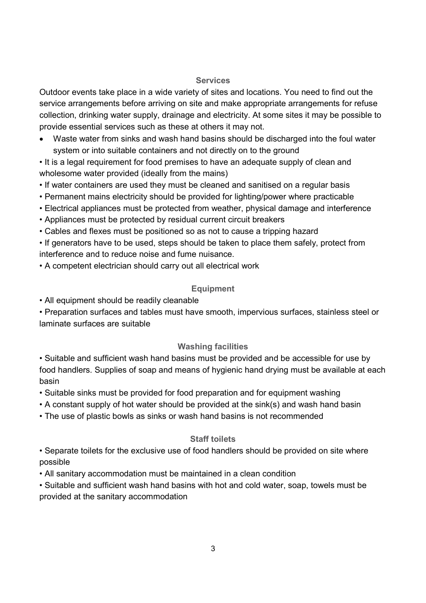#### **Services**

 Outdoor events take place in a wide variety of sites and locations. You need to find out the service arrangements before arriving on site and make appropriate arrangements for refuse collection, drinking water supply, drainage and electricity. At some sites it may be possible to provide essential services such as these at others it may not.

• Waste water from sinks and wash hand basins should be discharged into the foul water system or into suitable containers and not directly on to the ground

 • It is a legal requirement for food premises to have an adequate supply of clean and wholesome water provided (ideally from the mains)

- If water containers are used they must be cleaned and sanitised on a regular basis
- Permanent mains electricity should be provided for lighting/power where practicable
- Electrical appliances must be protected from weather, physical damage and interference
- Appliances must be protected by residual current circuit breakers
- Cables and flexes must be positioned so as not to cause a tripping hazard

 • If generators have to be used, steps should be taken to place them safely, protect from interference and to reduce noise and fume nuisance.

• A competent electrician should carry out all electrical work

# **Equipment**

• All equipment should be readily cleanable

 • Preparation surfaces and tables must have smooth, impervious surfaces, stainless steel or laminate surfaces are suitable

# **Washing facilities**

 • Suitable and sufficient wash hand basins must be provided and be accessible for use by food handlers. Supplies of soap and means of hygienic hand drying must be available at each basin

• Suitable sinks must be provided for food preparation and for equipment washing

- A constant supply of hot water should be provided at the sink(s) and wash hand basin
- The use of plastic bowls as sinks or wash hand basins is not recommended

# **Staff toilets**

 • Separate toilets for the exclusive use of food handlers should be provided on site where possible

• All sanitary accommodation must be maintained in a clean condition

 provided at the sanitary accommodation • Suitable and sufficient wash hand basins with hot and cold water, soap, towels must be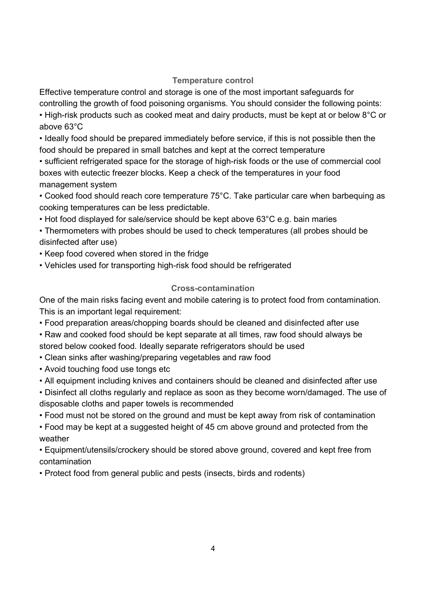#### **Temperature control**

 Effective temperature control and storage is one of the most important safeguards for controlling the growth of food poisoning organisms. You should consider the following points:

• High-risk products such as cooked meat and dairy products, must be kept at or below 8°C or above 63°C

 • Ideally food should be prepared immediately before service, if this is not possible then the food should be prepared in small batches and kept at the correct temperature

• sufficient refrigerated space for the storage of high-risk foods or the use of commercial cool boxes with eutectic freezer blocks. Keep a check of the temperatures in your food management system

 • Cooked food should reach core temperature 75°C. Take particular care when barbequing as cooking temperatures can be less predictable.

• Hot food displayed for sale/service should be kept above 63°C e.g. bain maries

 • Thermometers with probes should be used to check temperatures (all probes should be disinfected after use)

- Keep food covered when stored in the fridge
- Vehicles used for transporting high-risk food should be refrigerated

# **Crosscontamination**

 One of the main risks facing event and mobile catering is to protect food from contamination. This is an important legal requirement:

• Food preparation areas/chopping boards should be cleaned and disinfected after use

 • Raw and cooked food should be kept separate at all times, raw food should always be stored below cooked food. Ideally separate refrigerators should be used

- Clean sinks after washing/preparing vegetables and raw food
- Avoid touching food use tongs etc
- All equipment including knives and containers should be cleaned and disinfected after use

 • Disinfect all cloths regularly and replace as soon as they become worn/damaged. The use of disposable cloths and paper towels is recommended

• Food must not be stored on the ground and must be kept away from risk of contamination

 • Food may be kept at a suggested height of 45 cm above ground and protected from the weather

 • Equipment/utensils/crockery should be stored above ground, covered and kept free from contamination

• Protect food from general public and pests (insects, birds and rodents)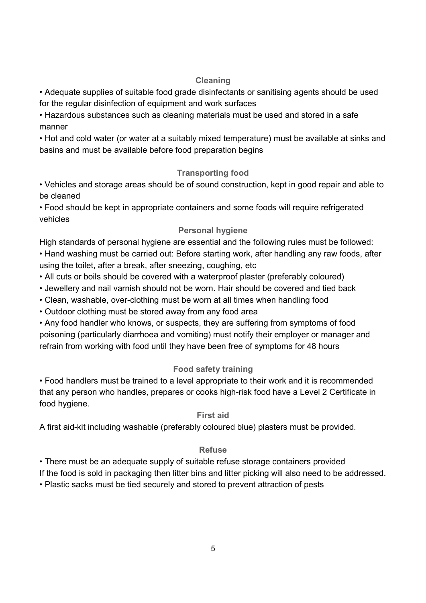### **Cleaning**

 • Adequate supplies of suitable food grade disinfectants or sanitising agents should be used for the regular disinfection of equipment and work surfaces

 • Hazardous substances such as cleaning materials must be used and stored in a safe manner

 • Hot and cold water (or water at a suitably mixed temperature) must be available at sinks and basins and must be available before food preparation begins

# **Transporting food**

 • Vehicles and storage areas should be of sound construction, kept in good repair and able to be cleaned

 • Food should be kept in appropriate containers and some foods will require refrigerated vehicles

# **Personal hygiene**

High standards of personal hygiene are essential and the following rules must be followed:

 • Hand washing must be carried out: Before starting work, after handling any raw foods, after using the toilet, after a break, after sneezing, coughing, etc

- All cuts or boils should be covered with a waterproof plaster (preferably coloured)
- Jewellery and nail varnish should not be worn. Hair should be covered and tied back
- Clean, washable, over-clothing must be worn at all times when handling food
- Outdoor clothing must be stored away from any food area

 • Any food handler who knows, or suspects, they are suffering from symptoms of food poisoning (particularly diarrhoea and vomiting) must notify their employer or manager and refrain from working with food until they have been free of symptoms for 48 hours

# **Food safety training**

 • Food handlers must be trained to a level appropriate to their work and it is recommended that any person who handles, prepares or cooks high-risk food have a Level 2 Certificate in food hygiene.

# **First aid**

A first aid-kit including washable (preferably coloured blue) plasters must be provided.

# **Refuse**

• There must be an adequate supply of suitable refuse storage containers provided

If the food is sold in packaging then litter bins and litter picking will also need to be addressed.

• Plastic sacks must be tied securely and stored to prevent attraction of pests